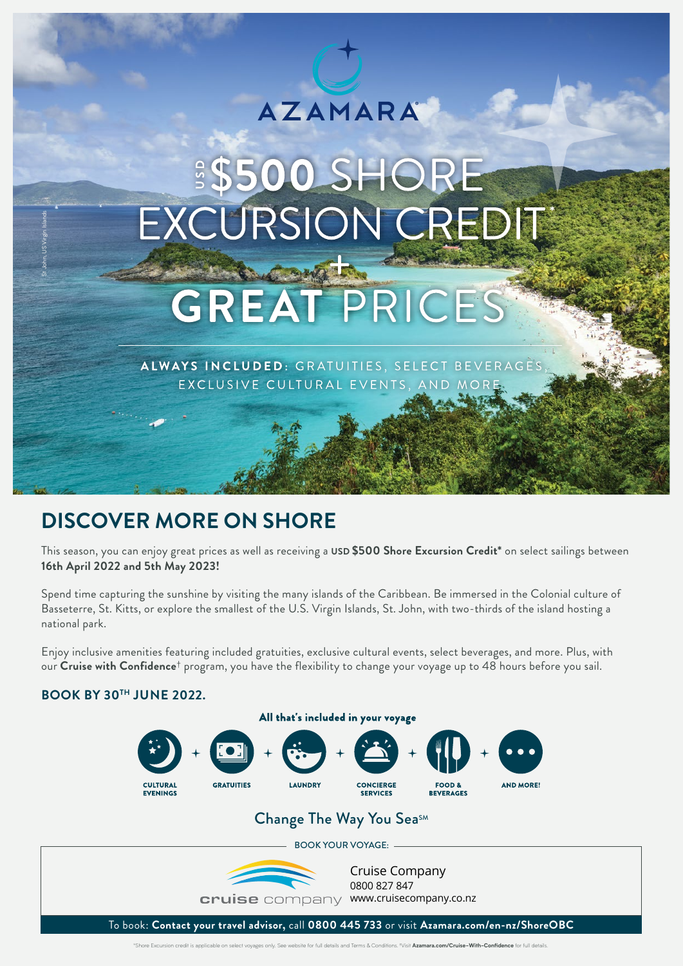# **AZAMARA**

# **\$\$500 SHORE**

# **DISCOVER MORE ON SHORE**

This season, you can enjoy great prices as well as receiving a **USD \$500 Shore Excursion Credit\*** on select sailings between **16th April 2022 and 5th May 2023!**

Spend time capturing the sunshine by visiting the many islands of the Caribbean. Be immersed in the Colonial culture of Basseterre, St. Kitts, or explore the smallest of the U.S. Virgin Islands, St. John, with two-thirds of the island hosting a national park. **BOOK BY 30<sup>TH</sup> JUNE 2022.<br>
BOOK BY 30<sup>TH</sup> JUNE 2022.<br>
BOOK BY 30<sup>TH</sup> JUNE 2022.<br>
BOOK BY 30<sup>TH</sup> JUNE 2022.** 

Enjoy inclusive amenities featuring included gratuities, exclusive cultural events, select beverages, and more. Plus, with our **Cruise with Confidence**† program, you have the flexibility to change your voyage up to 48 hours before you sail.



# Change The Way You SeasM

BOOK YOUR VOYAGE:

Cruise Company 0800 827 847

cruise company www.cruisecompany.co.nz

To book: **Contact your travel advisor,** call **0800 445 733** or visit **Azamara.com/en-nz/ShoreOBC**

\*Shore Excursion credit is applicable on select voyages only. See website for full details and Terms & Conditions. †Visit **Azamara.com/Cruise-With-Confidence** for full details.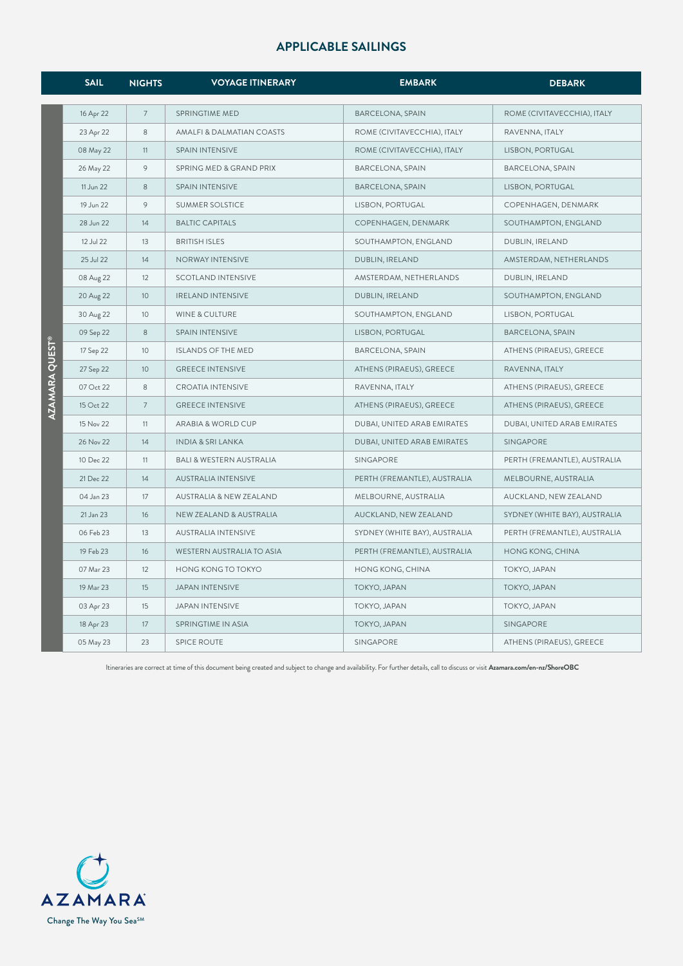|                           | <b>SAIL</b> | <b>NIGHTS</b>  | <b>VOYAGE ITINERARY</b>             | <b>EMBARK</b>                 | <b>DEBARK</b>                 |
|---------------------------|-------------|----------------|-------------------------------------|-------------------------------|-------------------------------|
|                           | 16 Apr 22   | $\overline{7}$ | <b>SPRINGTIME MED</b>               | <b>BARCELONA, SPAIN</b>       | ROME (CIVITAVECCHIA), ITALY   |
|                           | 23 Apr 22   | 8              | AMALFI & DALMATIAN COASTS           | ROME (CIVITAVECCHIA), ITALY   | RAVENNA, ITALY                |
|                           | 08 May 22   | 11             | SPAIN INTENSIVE                     | ROME (CIVITAVECCHIA), ITALY   | LISBON, PORTUGAL              |
|                           | 26 May 22   | 9              | SPRING MED & GRAND PRIX             | <b>BARCELONA, SPAIN</b>       | <b>BARCELONA, SPAIN</b>       |
|                           | 11 Jun 22   | $\,8\,$        | SPAIN INTENSIVE                     | <b>BARCELONA, SPAIN</b>       | LISBON, PORTUGAL              |
|                           | 19 Jun 22   | 9              | SUMMER SOLSTICE                     | LISBON, PORTUGAL              | COPENHAGEN, DENMARK           |
|                           | 28 Jun 22   | 14             | <b>BALTIC CAPITALS</b>              | COPENHAGEN, DENMARK           | SOUTHAMPTON, ENGLAND          |
|                           | 12 Jul 22   | 13             | <b>BRITISH ISLES</b>                | SOUTHAMPTON, ENGLAND          | DUBLIN, IRELAND               |
|                           | 25 Jul 22   | 14             | NORWAY INTENSIVE                    | DUBLIN, IRELAND               | AMSTERDAM, NETHERLANDS        |
|                           | 08 Aug 22   | 12             | <b>SCOTLAND INTENSIVE</b>           | AMSTERDAM, NETHERLANDS        | DUBLIN, IRELAND               |
|                           | 20 Aug 22   | 10             | <b>IRELAND INTENSIVE</b>            | DUBLIN, IRELAND               | SOUTHAMPTON, ENGLAND          |
|                           | 30 Aug 22   | 10             | WINE & CULTURE                      | SOUTHAMPTON, ENGLAND          | LISBON, PORTUGAL              |
| AZAMARA QUES <sup>-</sup> | 09 Sep 22   | 8              | SPAIN INTENSIVE                     | LISBON, PORTUGAL              | <b>BARCELONA, SPAIN</b>       |
|                           | 17 Sep 22   | 10             | ISLANDS OF THE MED                  | BARCELONA, SPAIN              | ATHENS (PIRAEUS), GREECE      |
|                           | 27 Sep 22   | 10             | <b>GREECE INTENSIVE</b>             | ATHENS (PIRAEUS), GREECE      | RAVENNA, ITALY                |
|                           | 07 Oct 22   | 8              | <b>CROATIA INTENSIVE</b>            | RAVENNA, ITALY                | ATHENS (PIRAEUS), GREECE      |
|                           | 15 Oct 22   | $\overline{7}$ | <b>GREECE INTENSIVE</b>             | ATHENS (PIRAEUS), GREECE      | ATHENS (PIRAEUS), GREECE      |
|                           | 15 Nov 22   | 11             | ARABIA & WORLD CUP                  | DUBAI, UNITED ARAB EMIRATES   | DUBAI, UNITED ARAB EMIRATES   |
|                           | 26 Nov 22   | 14             | <b>INDIA &amp; SRI LANKA</b>        | DUBAI, UNITED ARAB EMIRATES   | SINGAPORE                     |
|                           | 10 Dec 22   | 11             | <b>BALI &amp; WESTERN AUSTRALIA</b> | SINGAPORE                     | PERTH (FREMANTLE), AUSTRALIA  |
|                           | 21 Dec 22   | 14             | AUSTRALIA INTENSIVE                 | PERTH (FREMANTLE), AUSTRALIA  | MELBOURNE, AUSTRALIA          |
|                           | 04 Jan 23   | 17             | AUSTRALIA & NEW ZEALAND             | MELBOURNE, AUSTRALIA          | AUCKLAND, NEW ZEALAND         |
|                           | 21 Jan 23   | 16             | NEW ZEALAND & AUSTRALIA             | AUCKLAND, NEW ZEALAND         | SYDNEY (WHITE BAY), AUSTRALIA |
|                           | 06 Feb 23   | 13             | AUSTRALIA INTENSIVE                 | SYDNEY (WHITE BAY), AUSTRALIA | PERTH (FREMANTLE), AUSTRALIA  |
|                           | 19 Feb 23   | 16             | WESTERN AUSTRALIA TO ASIA           | PERTH (FREMANTLE), AUSTRALIA  | HONG KONG, CHINA              |
|                           | 07 Mar 23   | 12             | HONG KONG TO TOKYO                  | HONG KONG, CHINA              | TOKYO, JAPAN                  |
|                           | 19 Mar 23   | 15             | <b>JAPAN INTENSIVE</b>              | TOKYO, JAPAN                  | TOKYO, JAPAN                  |
|                           | 03 Apr 23   | 15             | <b>JAPAN INTENSIVE</b>              | TOKYO, JAPAN                  | TOKYO, JAPAN                  |
|                           | 18 Apr 23   | 17             | SPRINGTIME IN ASIA                  | TOKYO, JAPAN                  | SINGAPORE                     |
|                           | 05 May 23   | 23             | <b>SPICE ROUTE</b>                  | SINGAPORE                     | ATHENS (PIRAEUS), GREECE      |

Itineraries are correct at time of this document being created and subject to change and availability. For further details, call to discuss or visit **Azamara.com/en-nz/ShoreOBC**

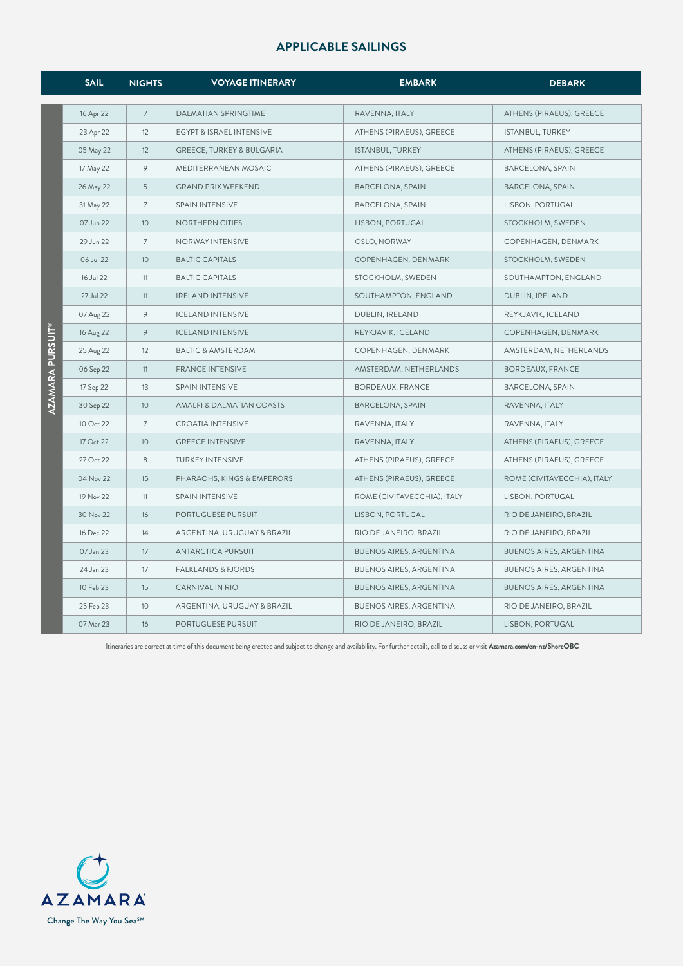|                | <b>SAIL</b> | <b>NIGHTS</b>  | <b>VOYAGE ITINERARY</b>       | <b>EMBARK</b>                  | <b>DEBARK</b>                  |
|----------------|-------------|----------------|-------------------------------|--------------------------------|--------------------------------|
|                |             |                |                               |                                |                                |
|                | 16 Apr 22   | $\overline{7}$ | <b>DALMATIAN SPRINGTIME</b>   | RAVENNA, ITALY                 | ATHENS (PIRAEUS), GREECE       |
|                | 23 Apr 22   | 12             | EGYPT & ISRAEL INTENSIVE      | ATHENS (PIRAEUS), GREECE       | ISTANBUL, TURKEY               |
|                | 05 May 22   | 12             | GREECE, TURKEY & BULGARIA     | ISTANBUL, TURKEY               | ATHENS (PIRAEUS), GREECE       |
|                | 17 May 22   | 9              | MEDITERRANEAN MOSAIC          | ATHENS (PIRAEUS), GREECE       | <b>BARCELONA, SPAIN</b>        |
|                | 26 May 22   | 5              | <b>GRAND PRIX WEEKEND</b>     | <b>BARCELONA, SPAIN</b>        | <b>BARCELONA, SPAIN</b>        |
|                | 31 May 22   | $\overline{7}$ | SPAIN INTENSIVE               | <b>BARCELONA, SPAIN</b>        | LISBON, PORTUGAL               |
|                | 07 Jun 22   | 10             | NORTHERN CITIES               | LISBON, PORTUGAL               | STOCKHOLM, SWEDEN              |
|                | 29 Jun 22   | $\overline{7}$ | NORWAY INTENSIVE              | OSLO, NORWAY                   | COPENHAGEN, DENMARK            |
|                | 06 Jul 22   | 10             | <b>BALTIC CAPITALS</b>        | COPENHAGEN, DENMARK            | STOCKHOLM, SWEDEN              |
|                | 16 Jul 22   | 11             | <b>BALTIC CAPITALS</b>        | STOCKHOLM, SWEDEN              | SOUTHAMPTON, ENGLAND           |
|                | 27 Jul 22   | 11             | <b>IRELAND INTENSIVE</b>      | SOUTHAMPTON, ENGLAND           | DUBLIN, IRELAND                |
|                | 07 Aug 22   | 9              | <b>ICELAND INTENSIVE</b>      | DUBLIN, IRELAND                | REYKJAVIK, ICELAND             |
| AMARA PURSUIT® | 16 Aug 22   | 9              | <b>ICELAND INTENSIVE</b>      | REYKJAVIK, ICELAND             | COPENHAGEN, DENMARK            |
|                | 25 Aug 22   | 12             | <b>BALTIC &amp; AMSTERDAM</b> | COPENHAGEN, DENMARK            | AMSTERDAM, NETHERLANDS         |
|                | 06 Sep 22   | 11             | <b>FRANCE INTENSIVE</b>       | AMSTERDAM, NETHERLANDS         | BORDEAUX, FRANCE               |
|                | 17 Sep 22   | 13             | SPAIN INTENSIVE               | <b>BORDEAUX, FRANCE</b>        | <b>BARCELONA, SPAIN</b>        |
|                | 30 Sep 22   | 10             | AMALFI & DALMATIAN COASTS     | <b>BARCELONA, SPAIN</b>        | RAVENNA, ITALY                 |
|                | 10 Oct 22   | $\overline{7}$ | <b>CROATIA INTENSIVE</b>      | RAVENNA, ITALY                 | RAVENNA, ITALY                 |
|                | 17 Oct 22   | 10             | <b>GREECE INTENSIVE</b>       | RAVENNA, ITALY                 | ATHENS (PIRAEUS), GREECE       |
|                | 27 Oct 22   | 8              | TURKEY INTENSIVE              | ATHENS (PIRAEUS), GREECE       | ATHENS (PIRAEUS), GREECE       |
|                | 04 Nov 22   | 15             | PHARAOHS, KINGS & EMPERORS    | ATHENS (PIRAEUS), GREECE       | ROME (CIVITAVECCHIA), ITALY    |
|                | 19 Nov 22   | 11             | SPAIN INTENSIVE               | ROME (CIVITAVECCHIA), ITALY    | LISBON, PORTUGAL               |
|                | 30 Nov 22   | 16             | PORTUGUESE PURSUIT            | LISBON, PORTUGAL               | RIO DE JANEIRO, BRAZIL         |
|                | 16 Dec 22   | 14             | ARGENTINA, URUGUAY & BRAZIL   | RIO DE JANEIRO, BRAZIL         | RIO DE JANEIRO, BRAZIL         |
|                | 07 Jan 23   | 17             | ANTARCTICA PURSUIT            | <b>BUENOS AIRES, ARGENTINA</b> | <b>BUENOS AIRES, ARGENTINA</b> |
|                | 24 Jan 23   | 17             | FALKLANDS & FJORDS            | BUENOS AIRES, ARGENTINA        | BUENOS AIRES, ARGENTINA        |
|                | 10 Feb 23   | 15             | CARNIVAL IN RIO               | <b>BUENOS AIRES, ARGENTINA</b> | BUENOS AIRES, ARGENTINA        |
|                | 25 Feb 23   | 10             | ARGENTINA, URUGUAY & BRAZIL   | <b>BUENOS AIRES, ARGENTINA</b> | RIO DE JANEIRO, BRAZIL         |
|                | 07 Mar 23   | 16             | PORTUGUESE PURSUIT            | RIO DE JANEIRO, BRAZIL         | LISBON, PORTUGAL               |

Itineraries are correct at time of this document being created and subject to change and availability. For further details, call to discuss or visit **Azamara.com/en-nz/ShoreOBC**

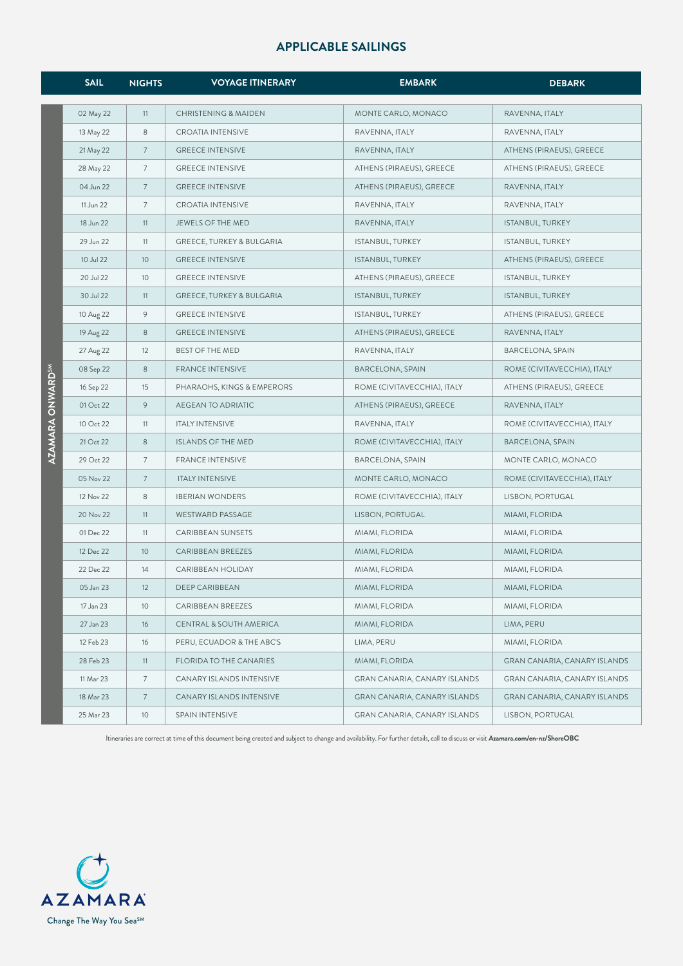|                              | <b>SAIL</b> | <b>NIGHTS</b>   | <b>VOYAGE ITINERARY</b>              | <b>EMBARK</b>                | <b>DEBARK</b>                |
|------------------------------|-------------|-----------------|--------------------------------------|------------------------------|------------------------------|
|                              | 02 May 22   | 11              | <b>CHRISTENING &amp; MAIDEN</b>      | MONTE CARLO, MONACO          | RAVENNA, ITALY               |
|                              | 13 May 22   | 8               | <b>CROATIA INTENSIVE</b>             | RAVENNA, ITALY               | RAVENNA, ITALY               |
|                              | 21 May 22   | $\overline{7}$  | <b>GREECE INTENSIVE</b>              | RAVENNA, ITALY               | ATHENS (PIRAEUS), GREECE     |
|                              | 28 May 22   | 7               | <b>GREECE INTENSIVE</b>              | ATHENS (PIRAEUS), GREECE     | ATHENS (PIRAEUS), GREECE     |
|                              | 04 Jun 22   | $\overline{7}$  | <b>GREECE INTENSIVE</b>              | ATHENS (PIRAEUS), GREECE     | RAVENNA, ITALY               |
|                              | 11 Jun 22   | 7               | <b>CROATIA INTENSIVE</b>             | RAVENNA, ITALY               | RAVENNA, ITALY               |
|                              | 18 Jun 22   | 11              | JEWELS OF THE MED                    | RAVENNA, ITALY               | ISTANBUL, TURKEY             |
|                              | 29 Jun 22   | 11              | GREECE, TURKEY & BULGARIA            | ISTANBUL, TURKEY             | ISTANBUL, TURKEY             |
|                              | 10 Jul 22   | 10 <sup>°</sup> | <b>GREECE INTENSIVE</b>              | ISTANBUL, TURKEY             | ATHENS (PIRAEUS), GREECE     |
|                              | 20 Jul 22   | 10              | <b>GREECE INTENSIVE</b>              | ATHENS (PIRAEUS), GREECE     | ISTANBUL, TURKEY             |
|                              | 30 Jul 22   | 11              | <b>GREECE, TURKEY &amp; BULGARIA</b> | ISTANBUL, TURKEY             | ISTANBUL, TURKEY             |
|                              | 10 Aug 22   | 9               | <b>GREECE INTENSIVE</b>              | ISTANBUL, TURKEY             | ATHENS (PIRAEUS), GREECE     |
|                              | 19 Aug 22   | 8               | <b>GREECE INTENSIVE</b>              | ATHENS (PIRAEUS), GREECE     | RAVENNA, ITALY               |
|                              | 27 Aug 22   | 12              | BEST OF THE MED                      | RAVENNA, ITALY               | <b>BARCELONA, SPAIN</b>      |
|                              | 08 Sep 22   | 8               | <b>FRANCE INTENSIVE</b>              | <b>BARCELONA, SPAIN</b>      | ROME (CIVITAVECCHIA), ITALY  |
|                              | 16 Sep 22   | 15              | PHARAOHS, KINGS & EMPERORS           | ROME (CIVITAVECCHIA), ITALY  | ATHENS (PIRAEUS), GREECE     |
|                              | 01 Oct 22   | 9               | AEGEAN TO ADRIATIC                   | ATHENS (PIRAEUS), GREECE     | RAVENNA, ITALY               |
|                              | 10 Oct 22   | 11              | <b>ITALY INTENSIVE</b>               | RAVENNA, ITALY               | ROME (CIVITAVECCHIA), ITALY  |
| AZAMARA ONWARD <sup>sm</sup> | 21 Oct 22   | 8               | <b>ISLANDS OF THE MED</b>            | ROME (CIVITAVECCHIA), ITALY  | <b>BARCELONA, SPAIN</b>      |
|                              | 29 Oct 22   | 7               | <b>FRANCE INTENSIVE</b>              | BARCELONA, SPAIN             | MONTE CARLO, MONACO          |
|                              | 05 Nov 22   | $\overline{7}$  | <b>ITALY INTENSIVE</b>               | MONTE CARLO, MONACO          | ROME (CIVITAVECCHIA), ITALY  |
|                              | 12 Nov 22   | 8               | <b>IBERIAN WONDERS</b>               | ROME (CIVITAVECCHIA), ITALY  | LISBON, PORTUGAL             |
|                              | 20 Nov 22   | 11              | WESTWARD PASSAGE                     | LISBON, PORTUGAL             | MIAMI, FLORIDA               |
|                              | 01 Dec 22   | 11              | <b>CARIBBEAN SUNSETS</b>             | MIAMI, FLORIDA               | MIAMI, FLORIDA               |
|                              | 12 Dec 22   | 10              | CARIBBEAN BREEZES                    | MIAMI, FLORIDA               | MIAMI, FLORIDA               |
|                              | 22 Dec 22   | 14              | CARIBBEAN HOLIDAY                    | MIAMI, FLORIDA               | MIAMI, FLORIDA               |
|                              | 05 Jan 23   | 12              | DEEP CARIBBEAN                       | MIAMI, FLORIDA               | MIAMI, FLORIDA               |
|                              | 17 Jan 23   | 10 <sup>°</sup> | CARIBBEAN BREEZES                    | MIAMI, FLORIDA               | MIAMI, FLORIDA               |
|                              | 27 Jan 23   | 16              | CENTRAL & SOUTH AMERICA              | MIAMI, FLORIDA               | LIMA, PERU                   |
|                              | 12 Feb 23   | 16              | PERU, ECUADOR & THE ABC'S            | LIMA, PERU                   | MIAMI, FLORIDA               |
|                              | 28 Feb 23   | 11              | FLORIDA TO THE CANARIES              | MIAMI, FLORIDA               | GRAN CANARIA, CANARY ISLANDS |
|                              | 11 Mar 23   | 7               | CANARY ISLANDS INTENSIVE             | GRAN CANARIA, CANARY ISLANDS | GRAN CANARIA, CANARY ISLANDS |
|                              | 18 Mar 23   | $\overline{7}$  | CANARY ISLANDS INTENSIVE             | GRAN CANARIA, CANARY ISLANDS | GRAN CANARIA, CANARY ISLANDS |
|                              | 25 Mar 23   | 10 <sup>°</sup> | SPAIN INTENSIVE                      | GRAN CANARIA, CANARY ISLANDS | LISBON, PORTUGAL             |

Itineraries are correct at time of this document being created and subject to change and availability. For further details, call to discuss or visit **Azamara.com/en-nz/ShoreOBC**